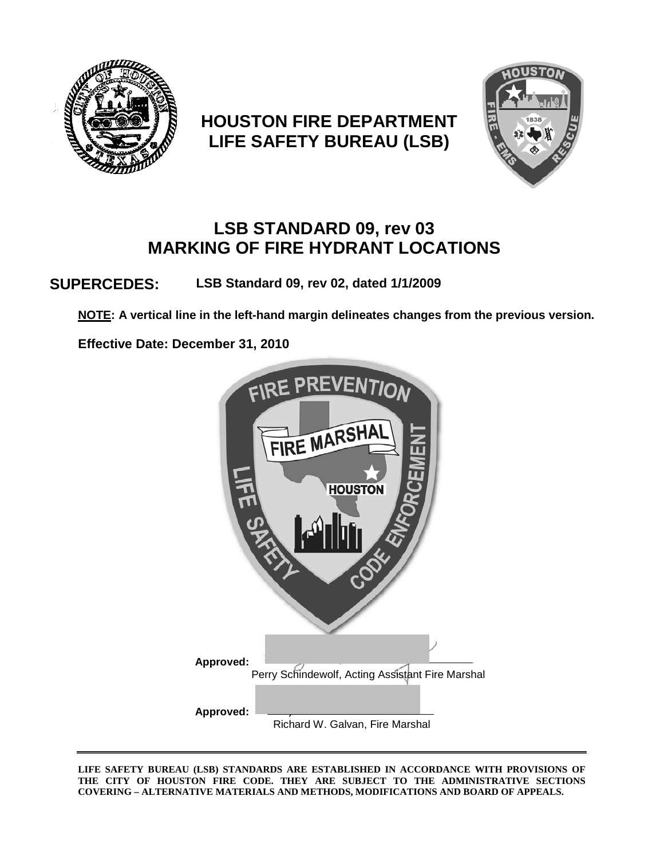

# **HOUSTON FIRE DEPARTMENT LIFE SAFETY BUREAU (LSB)**



# **LSB STANDARD 09, rev 03 MARKING OF FIRE HYDRANT LOCATIONS**

**SUPERCEDES: LSB Standard 09, rev 02, dated 1/1/2009**

**NOTE: A vertical line in the left-hand margin delineates changes from the previous version.**

**Effective Date: December 31, 2010**



**LIFE SAFETY BUREAU (LSB) STANDARDS ARE ESTABLISHED IN ACCORDANCE WITH PROVISIONS OF THE CITY OF HOUSTON FIRE CODE. THEY ARE SUBJECT TO THE ADMINISTRATIVE SECTIONS COVERING – ALTERNATIVE MATERIALS AND METHODS, MODIFICATIONS AND BOARD OF APPEALS.**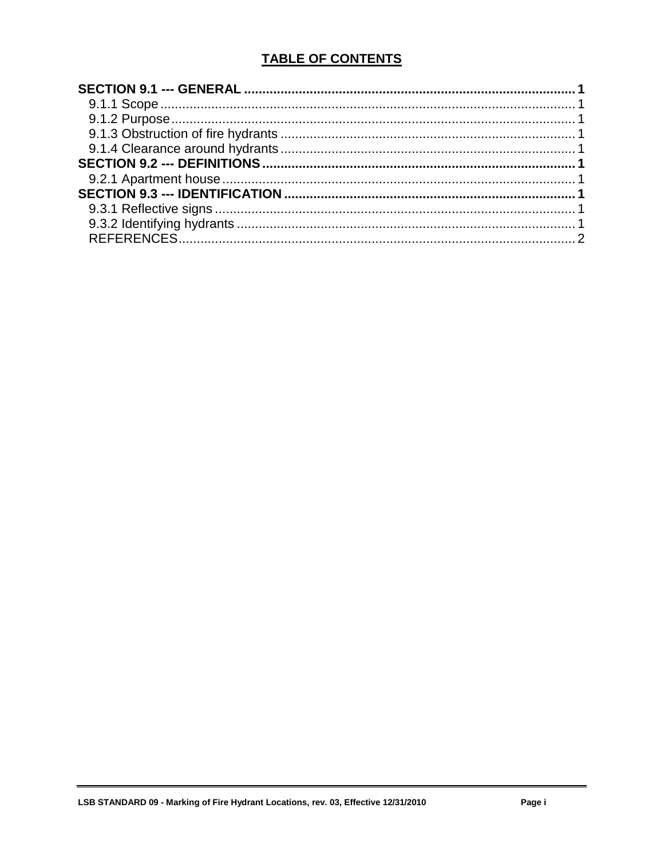# **TABLE OF CONTENTS**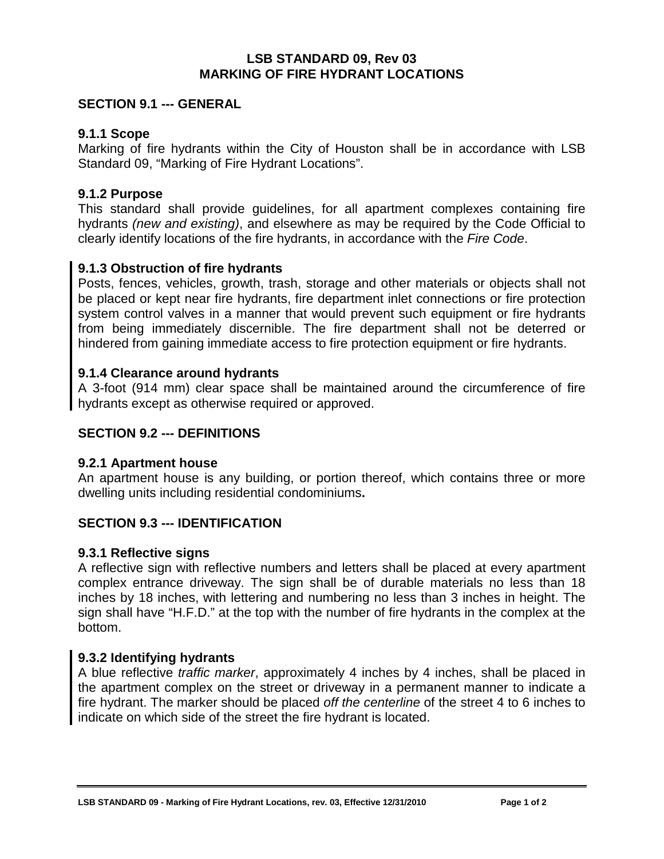#### **LSB STANDARD 09, Rev 03 MARKING OF FIRE HYDRANT LOCATIONS**

## <span id="page-2-0"></span>**SECTION 9.1 --- GENERAL**

### <span id="page-2-1"></span>**9.1.1 Scope**

Marking of fire hydrants within the City of Houston shall be in accordance with LSB Standard 09, "Marking of Fire Hydrant Locations".

### <span id="page-2-2"></span>**9.1.2 Purpose**

This standard shall provide guidelines, for all apartment complexes containing fire hydrants *(new and existing)*, and elsewhere as may be required by the Code Official to clearly identify locations of the fire hydrants, in accordance with the *Fire Code*.

#### <span id="page-2-3"></span>**9.1.3 Obstruction of fire hydrants**

Posts, fences, vehicles, growth, trash, storage and other materials or objects shall not be placed or kept near fire hydrants, fire department inlet connections or fire protection system control valves in a manner that would prevent such equipment or fire hydrants from being immediately discernible. The fire department shall not be deterred or hindered from gaining immediate access to fire protection equipment or fire hydrants.

## <span id="page-2-4"></span>**9.1.4 Clearance around hydrants**

A 3-foot (914 mm) clear space shall be maintained around the circumference of fire hydrants except as otherwise required or approved.

### <span id="page-2-5"></span>**SECTION 9.2 --- DEFINITIONS**

#### <span id="page-2-6"></span>**9.2.1 Apartment house**

An apartment house is any building, or portion thereof, which contains three or more dwelling units including residential condominiums**.**

## <span id="page-2-7"></span>**SECTION 9.3 --- IDENTIFICATION**

#### <span id="page-2-8"></span>**9.3.1 Reflective signs**

A reflective sign with reflective numbers and letters shall be placed at every apartment complex entrance driveway. The sign shall be of durable materials no less than 18 inches by 18 inches, with lettering and numbering no less than 3 inches in height. The sign shall have "H.F.D." at the top with the number of fire hydrants in the complex at the bottom.

## <span id="page-2-9"></span>**9.3.2 Identifying hydrants**

A blue reflective *traffic marker*, approximately 4 inches by 4 inches, shall be placed in the apartment complex on the street or driveway in a permanent manner to indicate a fire hydrant. The marker should be placed *off the centerline* of the street 4 to 6 inches to indicate on which side of the street the fire hydrant is located.